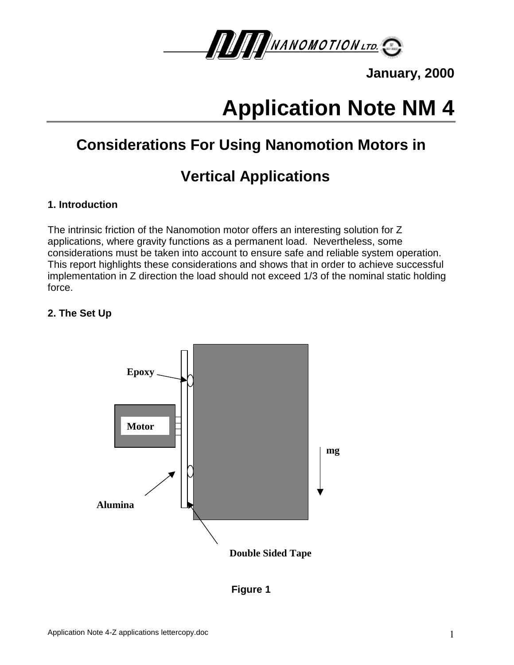

**January, 2000**

# **Application Note NM 4**

# **Considerations For Using Nanomotion Motors in**

# **Vertical Applications**

# **1. Introduction**

The intrinsic friction of the Nanomotion motor offers an interesting solution for Z applications, where gravity functions as a permanent load. Nevertheless, some considerations must be taken into account to ensure safe and reliable system operation. This report highlights these considerations and shows that in order to achieve successful implementation in Z direction the load should not exceed 1/3 of the nominal static holding force.

# **2. The Set Up**



**Figure 1**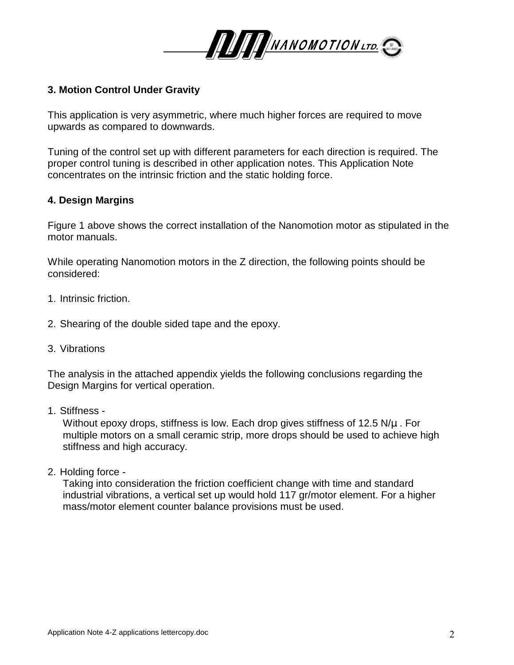

# **3. Motion Control Under Gravity**

This application is very asymmetric, where much higher forces are required to move upwards as compared to downwards.

Tuning of the control set up with different parameters for each direction is required. The proper control tuning is described in other application notes. This Application Note concentrates on the intrinsic friction and the static holding force.

#### **4. Design Margins**

Figure 1 above shows the correct installation of the Nanomotion motor as stipulated in the motor manuals.

While operating Nanomotion motors in the Z direction, the following points should be considered:

- 1. Intrinsic friction.
- 2. Shearing of the double sided tape and the epoxy.
- 3. Vibrations

The analysis in the attached appendix yields the following conclusions regarding the Design Margins for vertical operation.

1. Stiffness -

Without epoxy drops, stiffness is low. Each drop gives stiffness of 12.5  $N/\mu$ . For multiple motors on a small ceramic strip, more drops should be used to achieve high stiffness and high accuracy.

2. Holding force -

Taking into consideration the friction coefficient change with time and standard industrial vibrations, a vertical set up would hold 117 gr/motor element. For a higher mass/motor element counter balance provisions must be used.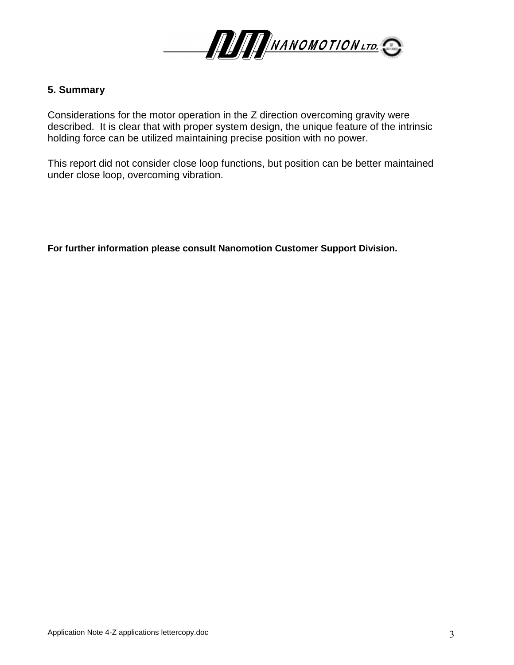

#### **5. Summary**

Considerations for the motor operation in the Z direction overcoming gravity were described. It is clear that with proper system design, the unique feature of the intrinsic holding force can be utilized maintaining precise position with no power.

This report did not consider close loop functions, but position can be better maintained under close loop, overcoming vibration.

**For further information please consult Nanomotion Customer Support Division.**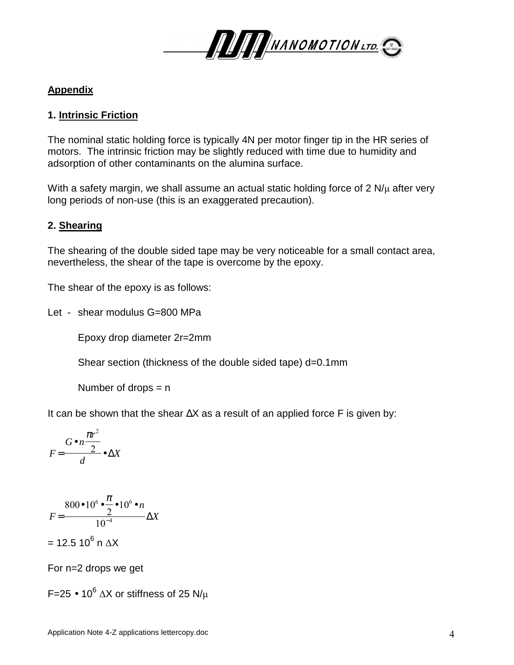

### **Appendix**

#### **1. Intrinsic Friction**

The nominal static holding force is typically 4N per motor finger tip in the HR series of motors. The intrinsic friction may be slightly reduced with time due to humidity and adsorption of other contaminants on the alumina surface.

With a safety margin, we shall assume an actual static holding force of  $2 \mathrm{N}/\mu$  after very long periods of non-use (this is an exaggerated precaution).

# **2. Shearing**

The shearing of the double sided tape may be very noticeable for a small contact area, nevertheless, the shear of the tape is overcome by the epoxy.

The shear of the epoxy is as follows:

Let - shear modulus G=800 MPa

Epoxy drop diameter 2r=2mm

Shear section (thickness of the double sided tape) d=0.1mm

Number of drops  $= n$ 

It can be shown that the shear ∆X as a result of an applied force F is given by:

$$
F = \frac{G \bullet n \frac{\pi r^2}{2}}{d} \bullet \Delta X
$$

$$
F = \frac{800 \bullet 10^{6} \bullet \frac{\pi}{2} \bullet 10^{6} \bullet n}{10^{-4}} \Delta X
$$

= 12.5 10 $^6$  n  $\Delta$ X

For n=2 drops we get

F=25 • 10<sup>6</sup>  $\Delta$ X or stiffness of 25 N/ $\mu$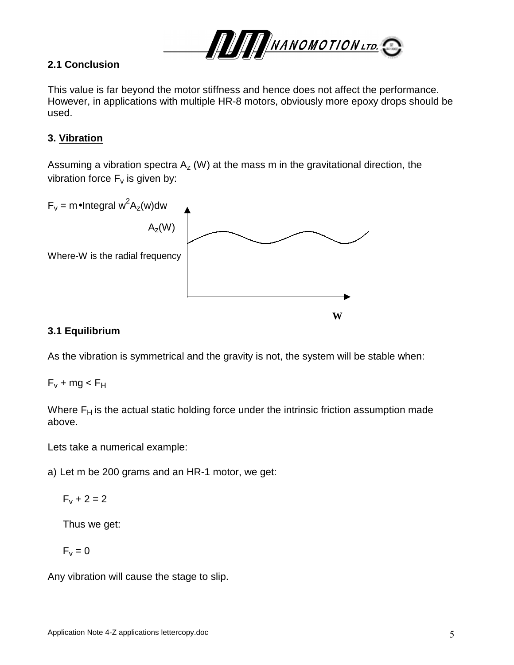

# **2.1 Conclusion**

This value is far beyond the motor stiffness and hence does not affect the performance. However, in applications with multiple HR-8 motors, obviously more epoxy drops should be used.

# **3. Vibration**

Assuming a vibration spectra  $A<sub>z</sub>$  (W) at the mass m in the gravitational direction, the vibration force  $F_v$  is given by:



### **3.1 Equilibrium**

As the vibration is symmetrical and the gravity is not, the system will be stable when:

 $F_v$  + mg <  $F_H$ 

Where  $F_H$  is the actual static holding force under the intrinsic friction assumption made above.

Lets take a numerical example:

a) Let m be 200 grams and an HR-1 motor, we get:

 $F_v + 2 = 2$ 

Thus we get:

$$
F_{v}=0
$$

Any vibration will cause the stage to slip.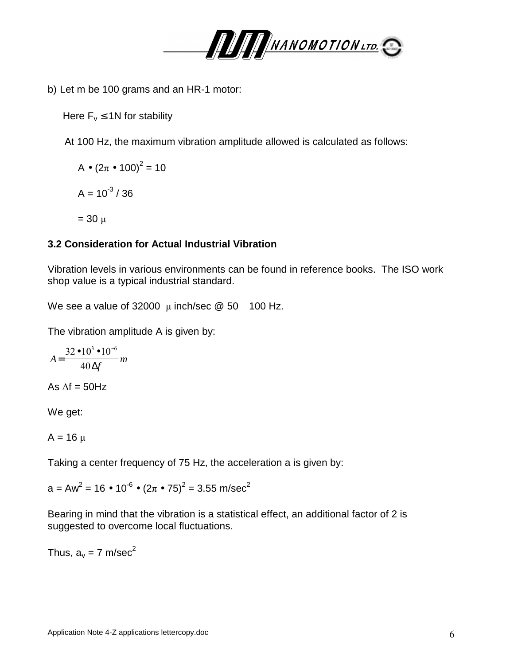

b) Let m be 100 grams and an HR-1 motor:

Here  $F_v \leq 1N$  for stability

At 100 Hz, the maximum vibration amplitude allowed is calculated as follows:

$$
A \bullet (2\pi \bullet 100)^{2} = 10
$$
  

$$
A = 10^{3} / 36
$$
  

$$
= 30 \ \mu
$$

# **3.2 Consideration for Actual Industrial Vibration**

Vibration levels in various environments can be found in reference books. The ISO work shop value is a typical industrial standard.

We see a value of 32000  $\mu$  inch/sec @ 50 – 100 Hz.

The vibration amplitude A is given by:

$$
A = \frac{32 \cdot 10^3 \cdot 10^{-6}}{40 \Delta f} m
$$

As  $\Delta f = 50$ Hz

We get:

 $A = 16 \mu$ 

Taking a center frequency of 75 Hz, the acceleration a is given by:

a = Aw $^2$  = 16  $\bullet$  10 $^6$   $\bullet$  (2π  $\bullet$  75) $^2$  = 3.55 m/sec $^2$ 

Bearing in mind that the vibration is a statistical effect, an additional factor of 2 is suggested to overcome local fluctuations.

Thus,  $a_v = 7$  m/sec<sup>2</sup>